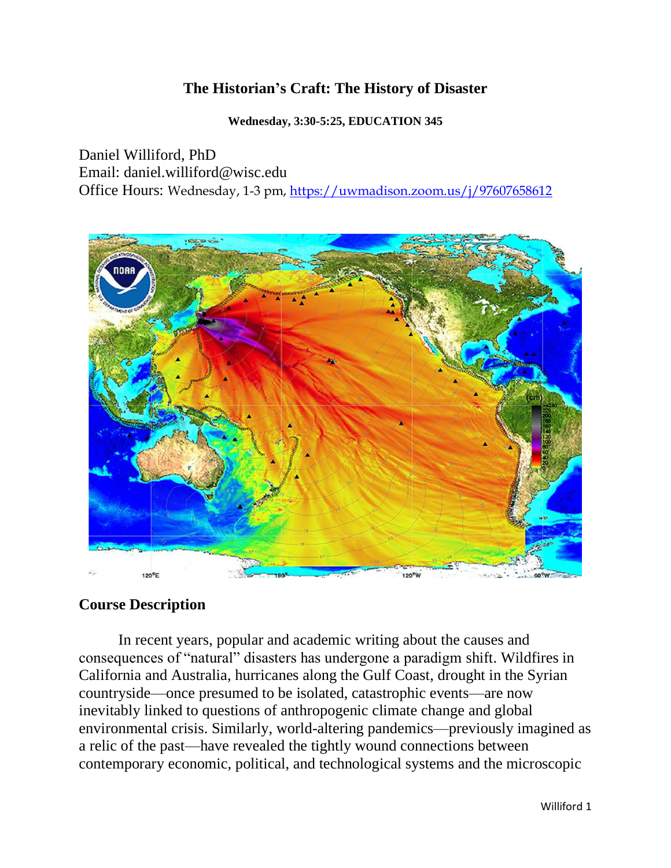# **The Historian's Craft: The History of Disaster**

**Wednesday, 3:30-5:25, EDUCATION 345**

Daniel Williford, PhD Email: daniel.williford@wisc.edu Office Hours: Wednesday, 1-3 pm,<https://uwmadison.zoom.us/j/97607658612>



# **Course Description**

In recent years, popular and academic writing about the causes and consequences of "natural" disasters has undergone a paradigm shift. Wildfires in California and Australia, hurricanes along the Gulf Coast, drought in the Syrian countryside—once presumed to be isolated, catastrophic events—are now inevitably linked to questions of anthropogenic climate change and global environmental crisis. Similarly, world-altering pandemics—previously imagined as a relic of the past—have revealed the tightly wound connections between contemporary economic, political, and technological systems and the microscopic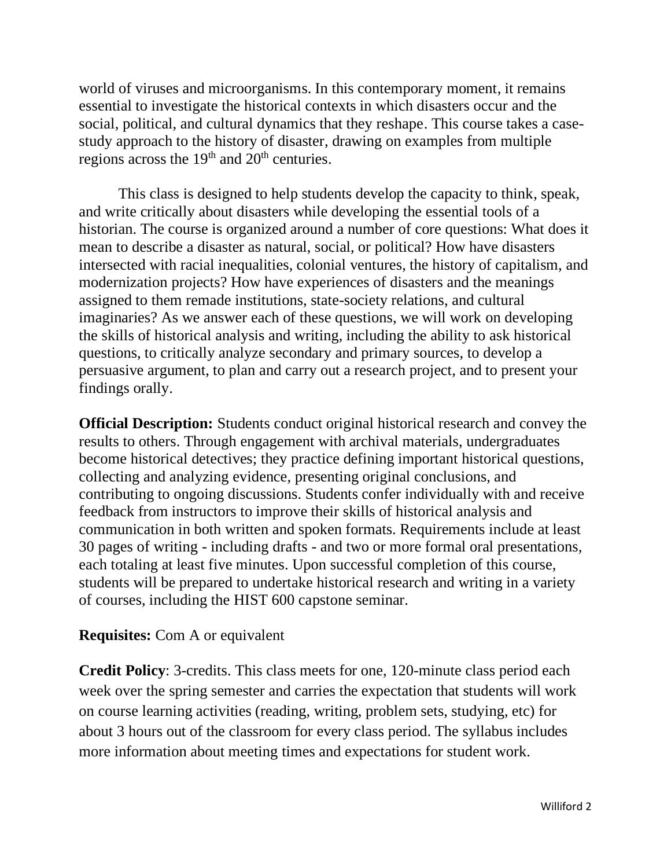world of viruses and microorganisms. In this contemporary moment, it remains essential to investigate the historical contexts in which disasters occur and the social, political, and cultural dynamics that they reshape. This course takes a casestudy approach to the history of disaster, drawing on examples from multiple regions across the  $19<sup>th</sup>$  and  $20<sup>th</sup>$  centuries.

This class is designed to help students develop the capacity to think, speak, and write critically about disasters while developing the essential tools of a historian. The course is organized around a number of core questions: What does it mean to describe a disaster as natural, social, or political? How have disasters intersected with racial inequalities, colonial ventures, the history of capitalism, and modernization projects? How have experiences of disasters and the meanings assigned to them remade institutions, state-society relations, and cultural imaginaries? As we answer each of these questions, we will work on developing the skills of historical analysis and writing, including the ability to ask historical questions, to critically analyze secondary and primary sources, to develop a persuasive argument, to plan and carry out a research project, and to present your findings orally.

**Official Description:** Students conduct original historical research and convey the results to others. Through engagement with archival materials, undergraduates become historical detectives; they practice defining important historical questions, collecting and analyzing evidence, presenting original conclusions, and contributing to ongoing discussions. Students confer individually with and receive feedback from instructors to improve their skills of historical analysis and communication in both written and spoken formats. Requirements include at least 30 pages of writing - including drafts - and two or more formal oral presentations, each totaling at least five minutes. Upon successful completion of this course, students will be prepared to undertake historical research and writing in a variety of courses, including the HIST 600 capstone seminar.

# **Requisites:** Com A or equivalent

**Credit Policy**: 3-credits. This class meets for one, 120-minute class period each week over the spring semester and carries the expectation that students will work on course learning activities (reading, writing, problem sets, studying, etc) for about 3 hours out of the classroom for every class period. The syllabus includes more information about meeting times and expectations for student work.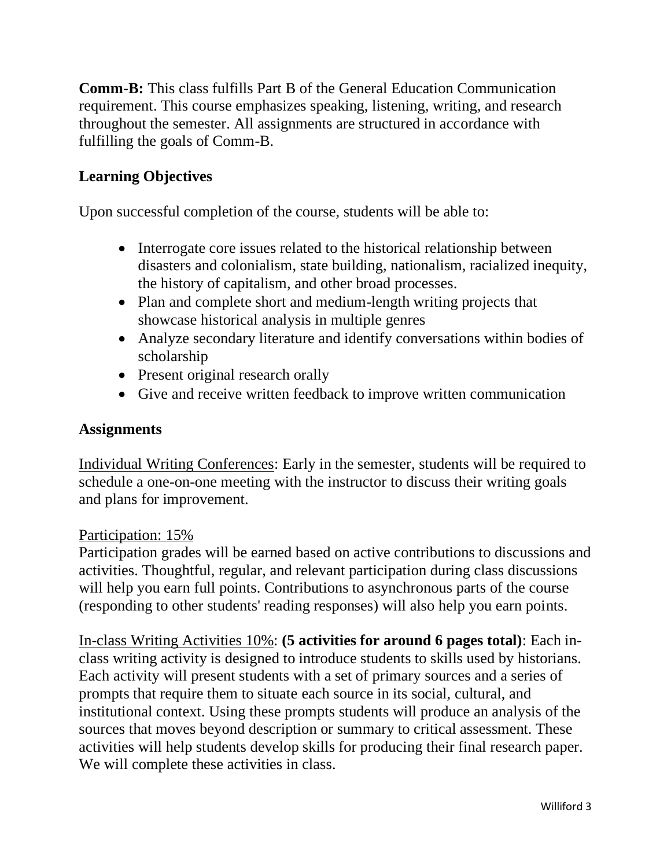**Comm-B:** This class fulfills Part B of the General Education Communication requirement. This course emphasizes speaking, listening, writing, and research throughout the semester. All assignments are structured in accordance with fulfilling the goals of Comm-B.

# **Learning Objectives**

Upon successful completion of the course, students will be able to:

- Interrogate core issues related to the historical relationship between disasters and colonialism, state building, nationalism, racialized inequity, the history of capitalism, and other broad processes.
- Plan and complete short and medium-length writing projects that showcase historical analysis in multiple genres
- Analyze secondary literature and identify conversations within bodies of scholarship
- Present original research orally
- Give and receive written feedback to improve written communication

## **Assignments**

Individual Writing Conferences: Early in the semester, students will be required to schedule a one-on-one meeting with the instructor to discuss their writing goals and plans for improvement.

#### Participation: 15%

Participation grades will be earned based on active contributions to discussions and activities. Thoughtful, regular, and relevant participation during class discussions will help you earn full points. Contributions to asynchronous parts of the course (responding to other students' reading responses) will also help you earn points.

In-class Writing Activities 10%: **(5 activities for around 6 pages total)**: Each inclass writing activity is designed to introduce students to skills used by historians. Each activity will present students with a set of primary sources and a series of prompts that require them to situate each source in its social, cultural, and institutional context. Using these prompts students will produce an analysis of the sources that moves beyond description or summary to critical assessment. These activities will help students develop skills for producing their final research paper. We will complete these activities in class.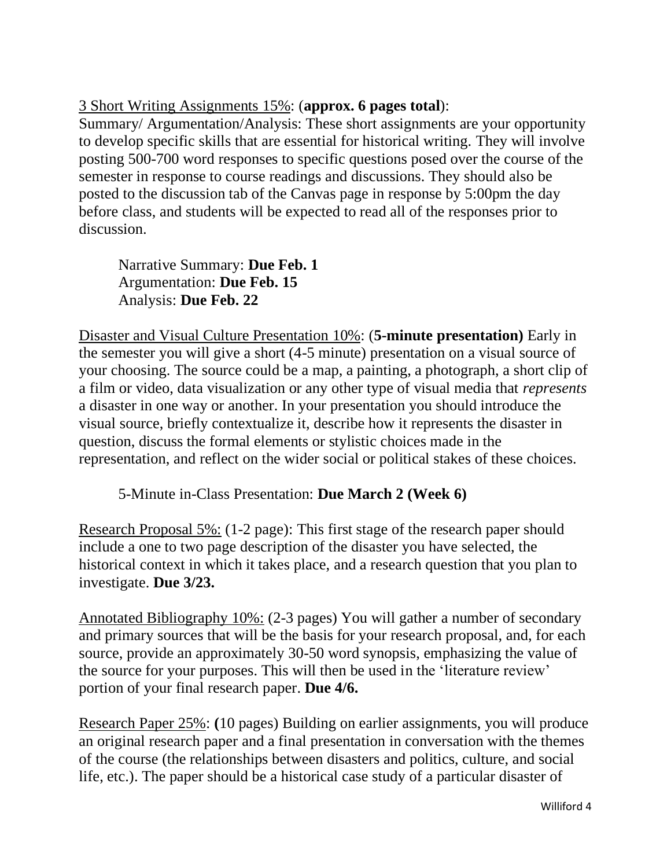# 3 Short Writing Assignments 15%: (**approx. 6 pages total**):

Summary/ Argumentation/Analysis: These short assignments are your opportunity to develop specific skills that are essential for historical writing. They will involve posting 500-700 word responses to specific questions posed over the course of the semester in response to course readings and discussions. They should also be posted to the discussion tab of the Canvas page in response by 5:00pm the day before class, and students will be expected to read all of the responses prior to discussion.

Narrative Summary: **Due Feb. 1** Argumentation: **Due Feb. 15** Analysis: **Due Feb. 22**

Disaster and Visual Culture Presentation 10%: (**5-minute presentation)** Early in the semester you will give a short (4-5 minute) presentation on a visual source of your choosing. The source could be a map, a painting, a photograph, a short clip of a film or video, data visualization or any other type of visual media that *represents* a disaster in one way or another. In your presentation you should introduce the visual source, briefly contextualize it, describe how it represents the disaster in question, discuss the formal elements or stylistic choices made in the representation, and reflect on the wider social or political stakes of these choices.

5-Minute in-Class Presentation: **Due March 2 (Week 6)** 

Research Proposal 5%: (1-2 page): This first stage of the research paper should include a one to two page description of the disaster you have selected, the historical context in which it takes place, and a research question that you plan to investigate. **Due 3/23.** 

Annotated Bibliography 10%: (2-3 pages) You will gather a number of secondary and primary sources that will be the basis for your research proposal, and, for each source, provide an approximately 30-50 word synopsis, emphasizing the value of the source for your purposes. This will then be used in the 'literature review' portion of your final research paper. **Due 4/6.** 

Research Paper 25%: **(**10 pages) Building on earlier assignments, you will produce an original research paper and a final presentation in conversation with the themes of the course (the relationships between disasters and politics, culture, and social life, etc.). The paper should be a historical case study of a particular disaster of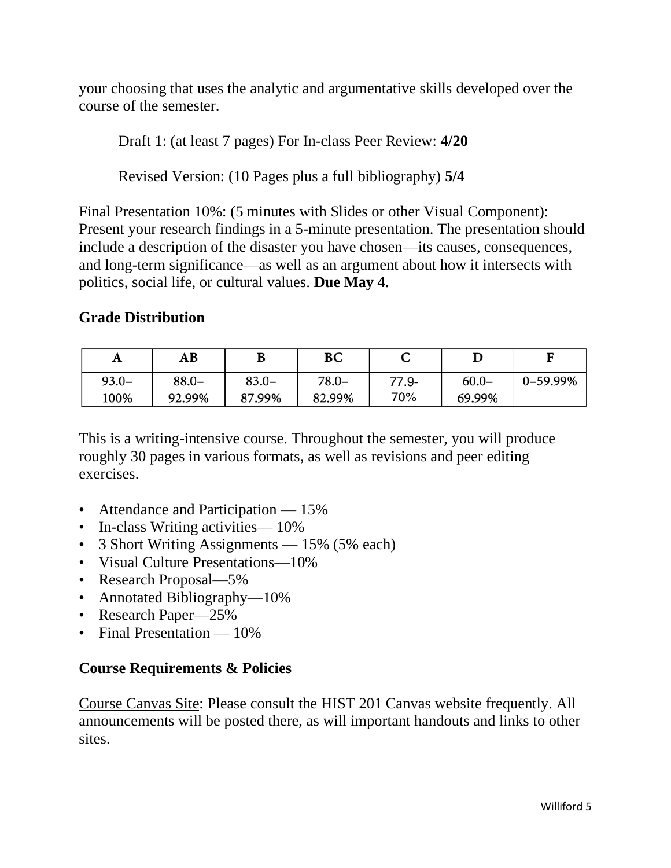your choosing that uses the analytic and argumentative skills developed over the course of the semester.

Draft 1: (at least 7 pages) For In-class Peer Review: **4/20**

Revised Version: (10 Pages plus a full bibliography) **5/4**

Final Presentation 10%: (5 minutes with Slides or other Visual Component): Present your research findings in a 5-minute presentation. The presentation should include a description of the disaster you have chosen—its causes, consequences, and long-term significance—as well as an argument about how it intersects with politics, social life, or cultural values. **Due May 4.** 

# **Grade Distribution**

| A        | AВ       | D        | BС     | ֊     |          |          |
|----------|----------|----------|--------|-------|----------|----------|
| $93.0 -$ | $88.0 -$ | $83.0 -$ | 78.0–  | 77.9- | $60.0 -$ | 0-59.99% |
| 100%     | 92.99%   | 87.99%   | 82.99% | 70%   | 69.99%   |          |

This is a writing-intensive course. Throughout the semester, you will produce roughly 30 pages in various formats, as well as revisions and peer editing exercises.

- Attendance and Participation 15%
- In-class Writing activities 10%
- 3 Short Writing Assignments 15% (5% each)
- Visual Culture Presentations—10%
- Research Proposal—5%
- Annotated Bibliography—10%
- Research Paper—25%
- Final Presentation 10%

# **Course Requirements & Policies**

Course Canvas Site: Please consult the HIST 201 Canvas website frequently. All announcements will be posted there, as will important handouts and links to other sites.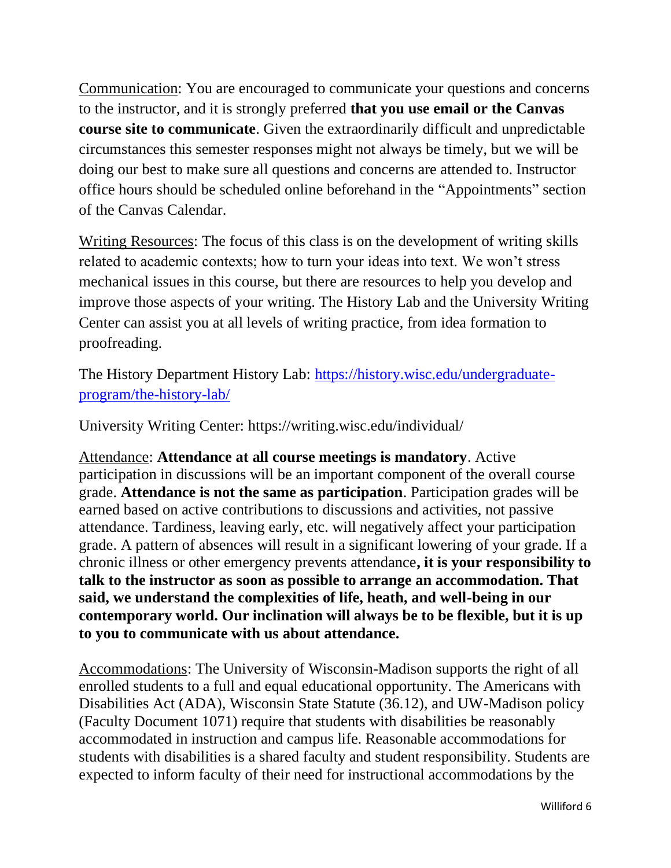Communication: You are encouraged to communicate your questions and concerns to the instructor, and it is strongly preferred **that you use email or the Canvas course site to communicate**. Given the extraordinarily difficult and unpredictable circumstances this semester responses might not always be timely, but we will be doing our best to make sure all questions and concerns are attended to. Instructor office hours should be scheduled online beforehand in the "Appointments" section of the Canvas Calendar.

Writing Resources: The focus of this class is on the development of writing skills related to academic contexts; how to turn your ideas into text. We won't stress mechanical issues in this course, but there are resources to help you develop and improve those aspects of your writing. The History Lab and the University Writing Center can assist you at all levels of writing practice, from idea formation to proofreading.

The History Department History Lab: [https://history.wisc.edu/undergraduate](https://history.wisc.edu/undergraduate-program/the-history-lab/)[program/the-history-lab/](https://history.wisc.edu/undergraduate-program/the-history-lab/)

University Writing Center: https://writing.wisc.edu/individual/

Attendance: **Attendance at all course meetings is mandatory**. Active participation in discussions will be an important component of the overall course grade. **Attendance is not the same as participation**. Participation grades will be earned based on active contributions to discussions and activities, not passive attendance. Tardiness, leaving early, etc. will negatively affect your participation grade. A pattern of absences will result in a significant lowering of your grade. If a chronic illness or other emergency prevents attendance**, it is your responsibility to talk to the instructor as soon as possible to arrange an accommodation. That said, we understand the complexities of life, heath, and well-being in our contemporary world. Our inclination will always be to be flexible, but it is up to you to communicate with us about attendance.** 

Accommodations: The University of Wisconsin-Madison supports the right of all enrolled students to a full and equal educational opportunity. The Americans with Disabilities Act (ADA), Wisconsin State Statute (36.12), and UW-Madison policy (Faculty Document 1071) require that students with disabilities be reasonably accommodated in instruction and campus life. Reasonable accommodations for students with disabilities is a shared faculty and student responsibility. Students are expected to inform faculty of their need for instructional accommodations by the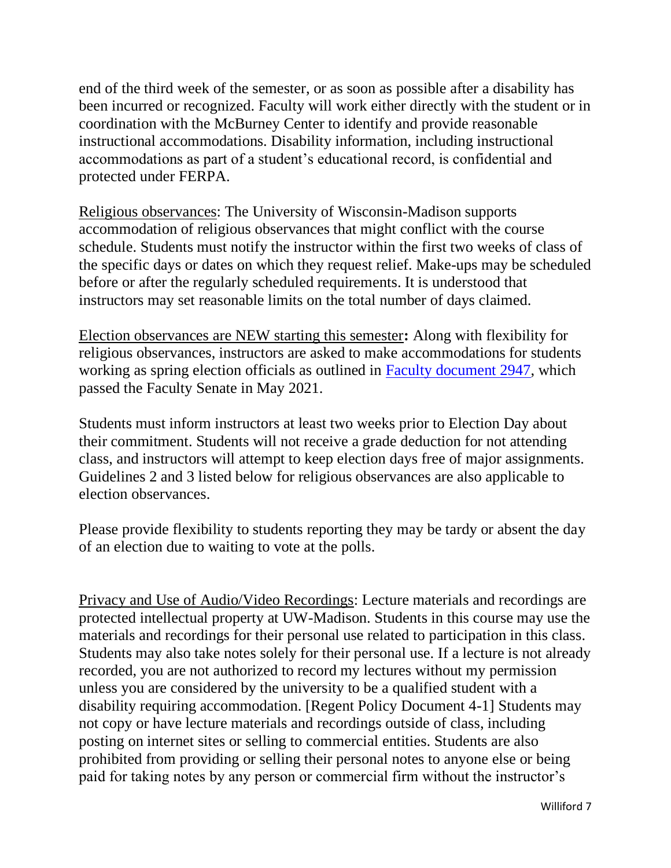end of the third week of the semester, or as soon as possible after a disability has been incurred or recognized. Faculty will work either directly with the student or in coordination with the McBurney Center to identify and provide reasonable instructional accommodations. Disability information, including instructional accommodations as part of a student's educational record, is confidential and protected under FERPA.

Religious observances: The University of Wisconsin-Madison supports accommodation of religious observances that might conflict with the course schedule. Students must notify the instructor within the first two weeks of class of the specific days or dates on which they request relief. Make-ups may be scheduled before or after the regularly scheduled requirements. It is understood that instructors may set reasonable limits on the total number of days claimed.

Election observances are NEW starting this semester**:** Along with flexibility for religious observances, instructors are asked to make accommodations for students working as spring election officials as outlined in [Faculty document 2947,](https://kb.wisc.edu/images/group222/shared/2021-05-03FacultySenate/2947ElectionDayObservanceFINAL.pdf) which passed the Faculty Senate in May 2021.

Students must inform instructors at least two weeks prior to Election Day about their commitment. Students will not receive a grade deduction for not attending class, and instructors will attempt to keep election days free of major assignments. Guidelines 2 and 3 listed below for religious observances are also applicable to election observances.

Please provide flexibility to students reporting they may be tardy or absent the day of an election due to waiting to vote at the polls.

Privacy and Use of Audio/Video Recordings: Lecture materials and recordings are protected intellectual property at UW-Madison. Students in this course may use the materials and recordings for their personal use related to participation in this class. Students may also take notes solely for their personal use. If a lecture is not already recorded, you are not authorized to record my lectures without my permission unless you are considered by the university to be a qualified student with a disability requiring accommodation. [Regent Policy Document 4-1] Students may not copy or have lecture materials and recordings outside of class, including posting on internet sites or selling to commercial entities. Students are also prohibited from providing or selling their personal notes to anyone else or being paid for taking notes by any person or commercial firm without the instructor's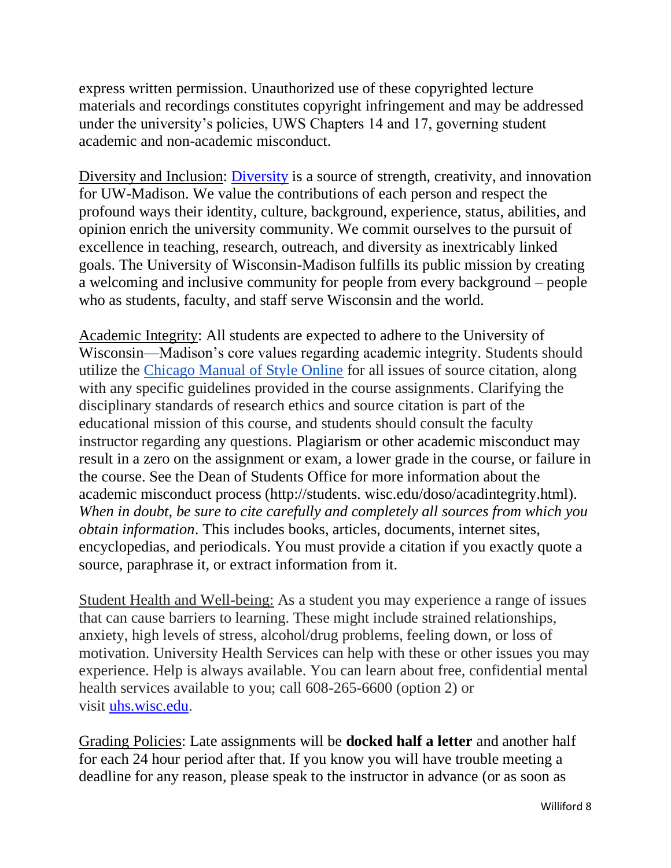express written permission. Unauthorized use of these copyrighted lecture materials and recordings constitutes copyright infringement and may be addressed under the university's policies, UWS Chapters 14 and 17, governing student academic and non-academic misconduct.

Diversity and Inclusion: [Diversity](https://diversity.wisc.edu/) is a source of strength, creativity, and innovation for UW-Madison. We value the contributions of each person and respect the profound ways their identity, culture, background, experience, status, abilities, and opinion enrich the university community. We commit ourselves to the pursuit of excellence in teaching, research, outreach, and diversity as inextricably linked goals. The University of Wisconsin-Madison fulfills its public mission by creating a welcoming and inclusive community for people from every background – people who as students, faculty, and staff serve Wisconsin and the world.

Academic Integrity: All students are expected to adhere to the University of Wisconsin—Madison's core values regarding academic integrity. Students should utilize the [Chicago Manual of Style Online](http://www.chicagomanualofstyle.org/tools_citationguide.html) for all issues of source citation, along with any specific guidelines provided in the course assignments. Clarifying the disciplinary standards of research ethics and source citation is part of the educational mission of this course, and students should consult the faculty instructor regarding any questions. Plagiarism or other academic misconduct may result in a zero on the assignment or exam, a lower grade in the course, or failure in the course. See the Dean of Students Office for more information about the academic misconduct process (http://students. wisc.edu/doso/acadintegrity.html). *When in doubt, be sure to cite carefully and completely all sources from which you obtain information*. This includes books, articles, documents, internet sites, encyclopedias, and periodicals. You must provide a citation if you exactly quote a source, paraphrase it, or extract information from it.

Student Health and Well-being: As a student you may experience a range of issues that can cause barriers to learning. These might include strained relationships, anxiety, high levels of stress, alcohol/drug problems, feeling down, or loss of motivation. University Health Services can help with these or other issues you may experience. Help is always available. You can learn about free, confidential mental health services available to you; call 608-265-6600 (option 2) or visit [uhs.wisc.edu.](https://www.uhs.wisc.edu/)

Grading Policies: Late assignments will be **docked half a letter** and another half for each 24 hour period after that. If you know you will have trouble meeting a deadline for any reason, please speak to the instructor in advance (or as soon as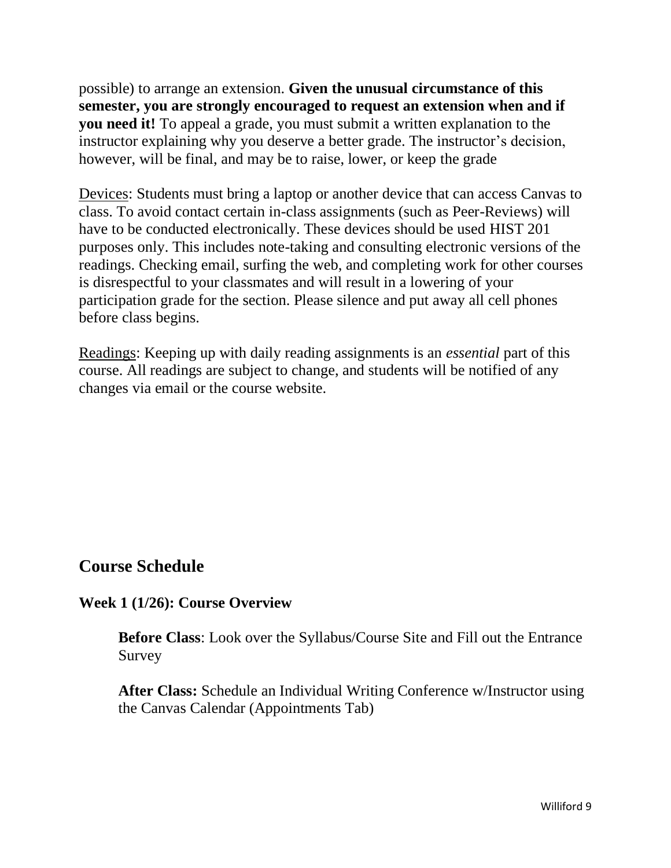possible) to arrange an extension. **Given the unusual circumstance of this semester, you are strongly encouraged to request an extension when and if you need it!** To appeal a grade, you must submit a written explanation to the instructor explaining why you deserve a better grade. The instructor's decision, however, will be final, and may be to raise, lower, or keep the grade

Devices: Students must bring a laptop or another device that can access Canvas to class. To avoid contact certain in-class assignments (such as Peer-Reviews) will have to be conducted electronically. These devices should be used HIST 201 purposes only. This includes note-taking and consulting electronic versions of the readings. Checking email, surfing the web, and completing work for other courses is disrespectful to your classmates and will result in a lowering of your participation grade for the section. Please silence and put away all cell phones before class begins.

Readings: Keeping up with daily reading assignments is an *essential* part of this course. All readings are subject to change, and students will be notified of any changes via email or the course website.

# **Course Schedule**

#### **Week 1 (1/26): Course Overview**

**Before Class**: Look over the Syllabus/Course Site and Fill out the Entrance Survey

**After Class:** Schedule an Individual Writing Conference w/Instructor using the Canvas Calendar (Appointments Tab)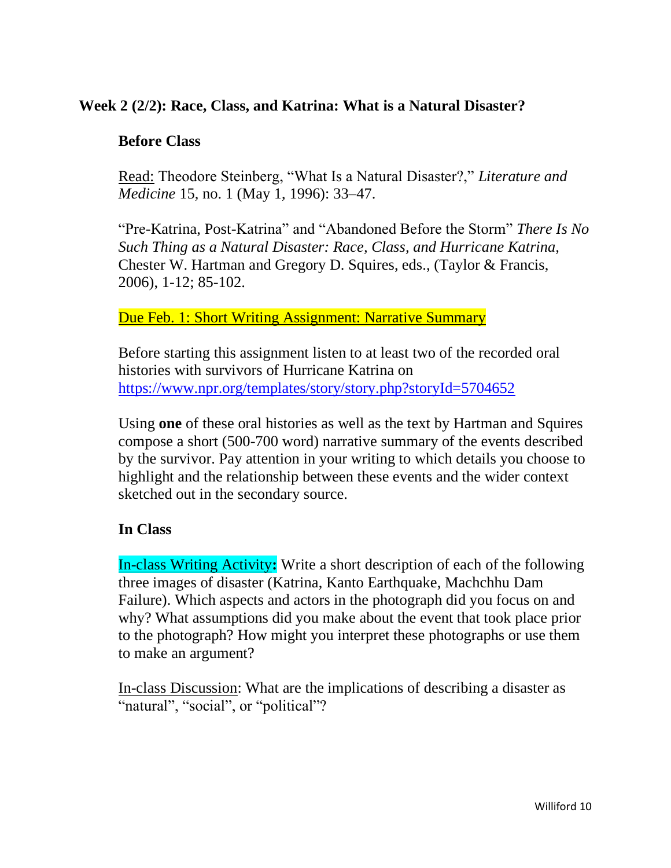# **Week 2 (2/2): Race, Class, and Katrina: What is a Natural Disaster?**

### **Before Class**

Read: Theodore Steinberg, "What Is a Natural Disaster?," *Literature and Medicine* 15, no. 1 (May 1, 1996): 33–47.

"Pre-Katrina, Post-Katrina" and "Abandoned Before the Storm" *There Is No Such Thing as a Natural Disaster: Race, Class, and Hurricane Katrina,*  Chester W. Hartman and Gregory D. Squires, eds., (Taylor & Francis, 2006), 1-12; 85-102.

### Due Feb. 1: Short Writing Assignment: Narrative Summary

Before starting this assignment listen to at least two of the recorded oral histories with survivors of Hurricane Katrina on <https://www.npr.org/templates/story/story.php?storyId=5704652>

Using **one** of these oral histories as well as the text by Hartman and Squires compose a short (500-700 word) narrative summary of the events described by the survivor. Pay attention in your writing to which details you choose to highlight and the relationship between these events and the wider context sketched out in the secondary source.

# **In Class**

In-class Writing Activity**:** Write a short description of each of the following three images of disaster (Katrina, Kanto Earthquake, Machchhu Dam Failure). Which aspects and actors in the photograph did you focus on and why? What assumptions did you make about the event that took place prior to the photograph? How might you interpret these photographs or use them to make an argument?

In-class Discussion: What are the implications of describing a disaster as "natural", "social", or "political"?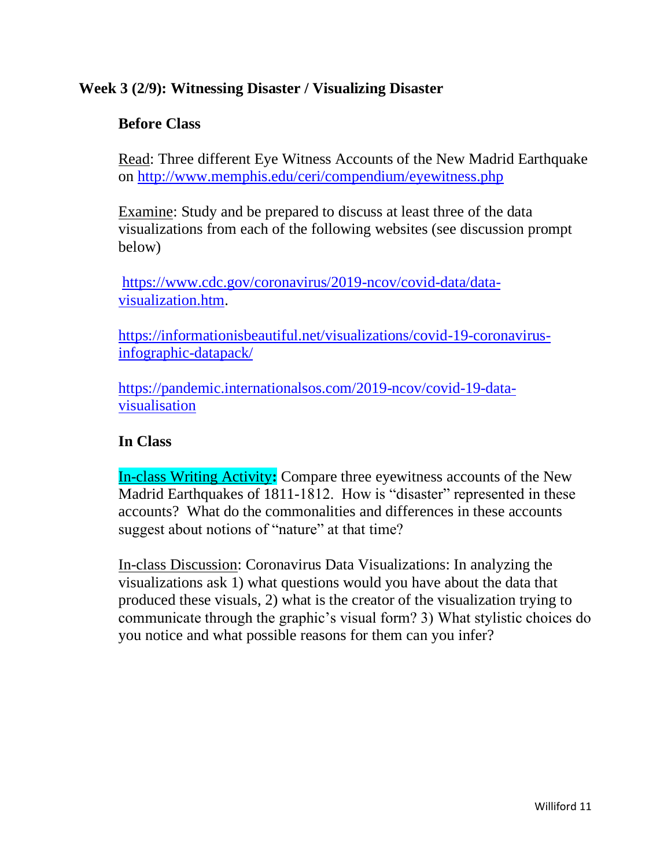# **Week 3 (2/9): Witnessing Disaster / Visualizing Disaster**

## **Before Class**

Read: Three different Eye Witness Accounts of the New Madrid Earthquake on<http://www.memphis.edu/ceri/compendium/eyewitness.php>

Examine: Study and be prepared to discuss at least three of the data visualizations from each of the following websites (see discussion prompt below)

[https://www.cdc.gov/coronavirus/2019-ncov/covid-data/data](https://www.cdc.gov/coronavirus/2019-ncov/covid-data/data-visualization.htm)[visualization.htm.](https://www.cdc.gov/coronavirus/2019-ncov/covid-data/data-visualization.htm)

[https://informationisbeautiful.net/visualizations/covid-19-coronavirus](https://informationisbeautiful.net/visualizations/covid-19-coronavirus-infographic-datapack/)[infographic-datapack/](https://informationisbeautiful.net/visualizations/covid-19-coronavirus-infographic-datapack/)

[https://pandemic.internationalsos.com/2019-ncov/covid-19-data](https://pandemic.internationalsos.com/2019-ncov/covid-19-data-visualisation)[visualisation](https://pandemic.internationalsos.com/2019-ncov/covid-19-data-visualisation)

## **In Class**

In-class Writing Activity**:** Compare three eyewitness accounts of the New Madrid Earthquakes of 1811-1812. How is "disaster" represented in these accounts? What do the commonalities and differences in these accounts suggest about notions of "nature" at that time?

In-class Discussion: Coronavirus Data Visualizations: In analyzing the visualizations ask 1) what questions would you have about the data that produced these visuals, 2) what is the creator of the visualization trying to communicate through the graphic's visual form? 3) What stylistic choices do you notice and what possible reasons for them can you infer?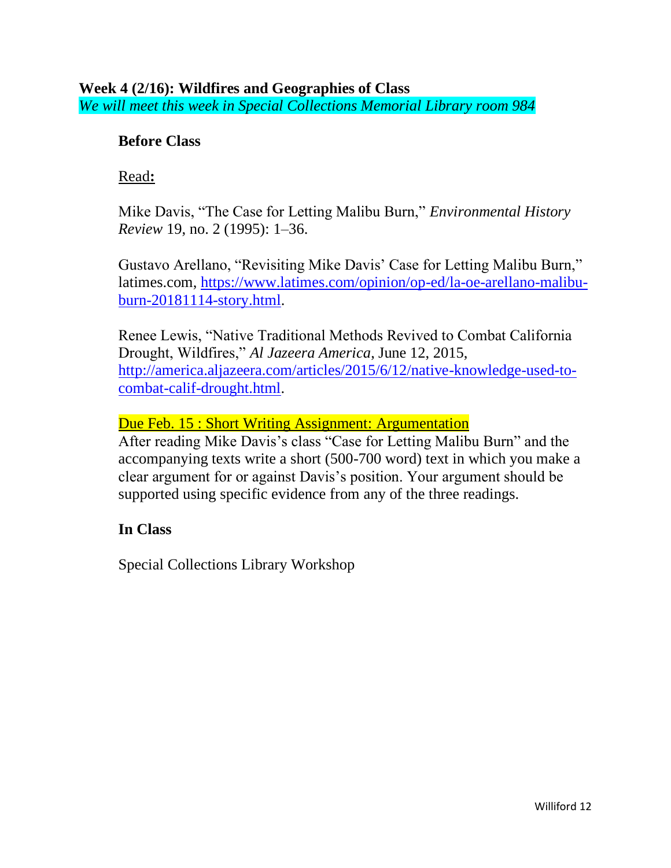# **Before Class**

### Read**:**

Mike Davis, "The Case for Letting Malibu Burn," *Environmental History Review* 19, no. 2 (1995): 1–36.

Gustavo Arellano, "Revisiting Mike Davis' Case for Letting Malibu Burn," latimes.com, [https://www.latimes.com/opinion/op-ed/la-oe-arellano-malibu](https://www.latimes.com/opinion/op-ed/la-oe-arellano-malibu-burn-20181114-story.html)[burn-20181114-story.html.](https://www.latimes.com/opinion/op-ed/la-oe-arellano-malibu-burn-20181114-story.html)

Renee Lewis, "Native Traditional Methods Revived to Combat California Drought, Wildfires," *Al Jazeera America*, June 12, 2015, [http://america.aljazeera.com/articles/2015/6/12/native-knowledge-used-to](http://america.aljazeera.com/articles/2015/6/12/native-knowledge-used-to-combat-calif-drought.html)[combat-calif-drought.html.](http://america.aljazeera.com/articles/2015/6/12/native-knowledge-used-to-combat-calif-drought.html)

Due Feb. 15 : Short Writing Assignment: Argumentation

After reading Mike Davis's class "Case for Letting Malibu Burn" and the accompanying texts write a short (500-700 word) text in which you make a clear argument for or against Davis's position. Your argument should be supported using specific evidence from any of the three readings.

# **In Class**

Special Collections Library Workshop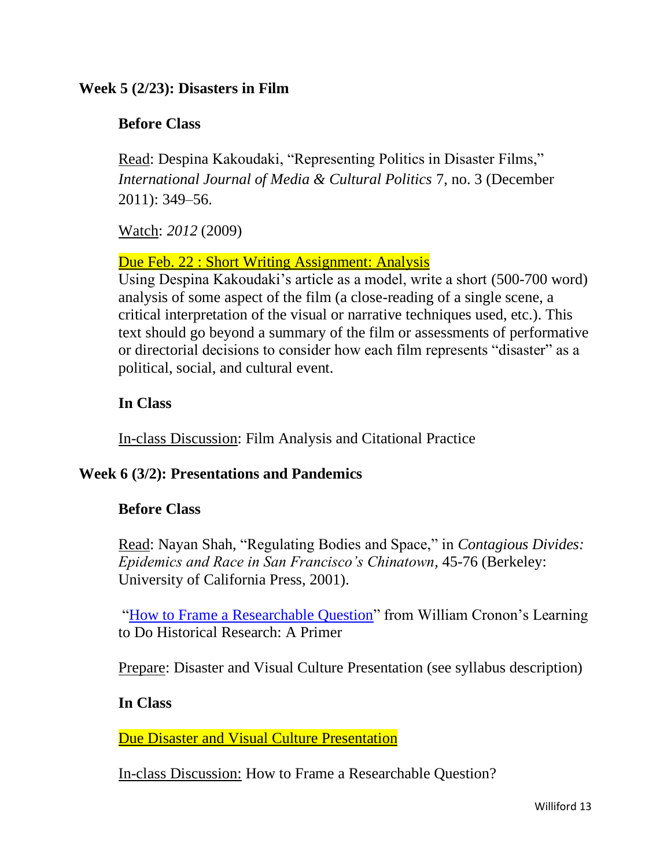### **Week 5 (2/23): Disasters in Film**

### **Before Class**

Read: Despina Kakoudaki, "Representing Politics in Disaster Films," *International Journal of Media & Cultural Politics* 7, no. 3 (December 2011): 349–56.

Watch: *2012* (2009)

#### Due Feb. 22 : Short Writing Assignment: Analysis

Using Despina Kakoudaki's article as a model, write a short (500-700 word) analysis of some aspect of the film (a close-reading of a single scene, a critical interpretation of the visual or narrative techniques used, etc.). This text should go beyond a summary of the film or assessments of performative or directorial decisions to consider how each film represents "disaster" as a political, social, and cultural event.

# **In Class**

In-class Discussion: Film Analysis and Citational Practice

#### **Week 6 (3/2): Presentations and Pandemics**

# **Before Class**

Read: Nayan Shah, "Regulating Bodies and Space," in *Contagious Divides: Epidemics and Race in San Francisco's Chinatown,* 45-76 (Berkeley: University of California Press, 2001).

["How to Frame a Researchable Question"](https://www.williamcronon.net/researching/questions.htm) from William Cronon's Learning to Do Historical Research: A Primer

Prepare: Disaster and Visual Culture Presentation (see syllabus description)

#### **In Class**

Due Disaster and Visual Culture Presentation

In-class Discussion: How to Frame a Researchable Question?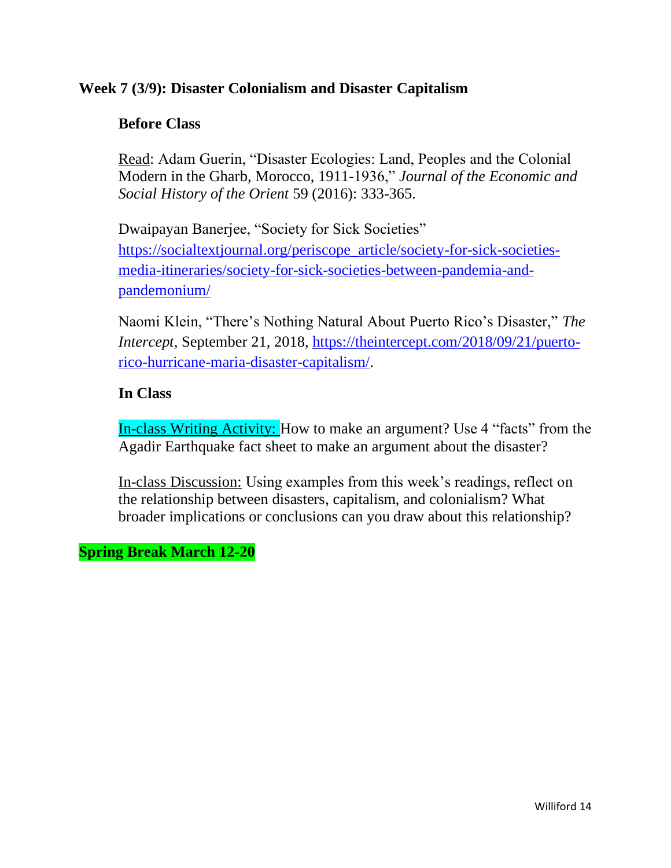## **Week 7 (3/9): Disaster Colonialism and Disaster Capitalism**

### **Before Class**

Read: Adam Guerin, "Disaster Ecologies: Land, Peoples and the Colonial Modern in the Gharb, Morocco, 1911-1936," *Journal of the Economic and Social History of the Orient* 59 (2016): 333-365.

Dwaipayan Banerjee, "Society for Sick Societies" [https://socialtextjournal.org/periscope\\_article/society-for-sick-societies](https://socialtextjournal.org/periscope_article/society-for-sick-societies-media-itineraries/society-for-sick-societies-between-pandemia-and-pandemonium/)[media-itineraries/society-for-sick-societies-between-pandemia-and](https://socialtextjournal.org/periscope_article/society-for-sick-societies-media-itineraries/society-for-sick-societies-between-pandemia-and-pandemonium/)[pandemonium/](https://socialtextjournal.org/periscope_article/society-for-sick-societies-media-itineraries/society-for-sick-societies-between-pandemia-and-pandemonium/)

Naomi Klein, "There's Nothing Natural About Puerto Rico's Disaster," *The Intercept*, September 21, 2018, [https://theintercept.com/2018/09/21/puerto](https://theintercept.com/2018/09/21/puerto-rico-hurricane-maria-disaster-capitalism/)[rico-hurricane-maria-disaster-capitalism/.](https://theintercept.com/2018/09/21/puerto-rico-hurricane-maria-disaster-capitalism/)

### **In Class**

In-class Writing Activity: How to make an argument? Use 4 "facts" from the Agadir Earthquake fact sheet to make an argument about the disaster?

In-class Discussion: Using examples from this week's readings, reflect on the relationship between disasters, capitalism, and colonialism? What broader implications or conclusions can you draw about this relationship?

**Spring Break March 12-20**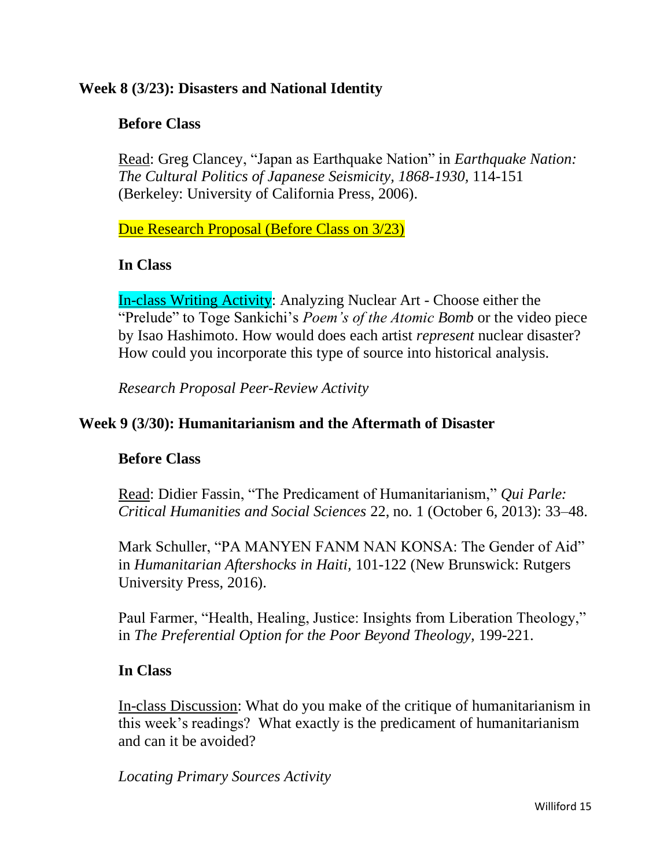# **Week 8 (3/23): Disasters and National Identity**

## **Before Class**

Read: Greg Clancey, "Japan as Earthquake Nation" in *Earthquake Nation: The Cultural Politics of Japanese Seismicity, 1868-1930,* 114-151 (Berkeley: University of California Press, 2006).

Due Research Proposal (Before Class on 3/23)

### **In Class**

In-class Writing Activity: Analyzing Nuclear Art - Choose either the "Prelude" to Toge Sankichi's *Poem's of the Atomic Bomb* or the video piece by Isao Hashimoto. How would does each artist *represent* nuclear disaster? How could you incorporate this type of source into historical analysis.

*Research Proposal Peer-Review Activity* 

# **Week 9 (3/30): Humanitarianism and the Aftermath of Disaster**

#### **Before Class**

Read: Didier Fassin, "The Predicament of Humanitarianism," *Qui Parle: Critical Humanities and Social Sciences* 22, no. 1 (October 6, 2013): 33–48.

Mark Schuller, "PA MANYEN FANM NAN KONSA: The Gender of Aid" in *Humanitarian Aftershocks in Haiti,* 101-122 (New Brunswick: Rutgers University Press, 2016).

Paul Farmer, "Health, Healing, Justice: Insights from Liberation Theology," in *The Preferential Option for the Poor Beyond Theology,* 199-221.

#### **In Class**

In-class Discussion: What do you make of the critique of humanitarianism in this week's readings? What exactly is the predicament of humanitarianism and can it be avoided?

*Locating Primary Sources Activity*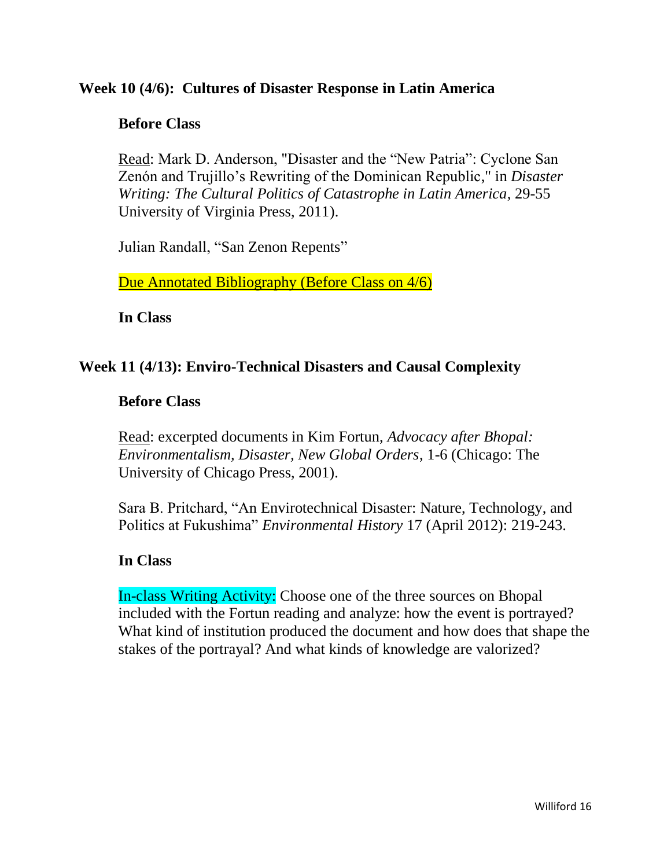### **Week 10 (4/6): Cultures of Disaster Response in Latin America**

#### **Before Class**

Read: Mark D. Anderson, "Disaster and the "New Patria": Cyclone San Zenón and Trujillo's Rewriting of the Dominican Republic," in *Disaster Writing: The Cultural Politics of Catastrophe in Latin America*, 29-55 University of Virginia Press, 2011).

Julian Randall, "San Zenon Repents"

Due Annotated Bibliography (Before Class on 4/6)

**In Class** 

### **Week 11 (4/13): Enviro-Technical Disasters and Causal Complexity**

#### **Before Class**

Read: excerpted documents in Kim Fortun, *Advocacy after Bhopal: Environmentalism, Disaster, New Global Orders*, 1-6 (Chicago: The University of Chicago Press, 2001).

Sara B. Pritchard, "An Envirotechnical Disaster: Nature, Technology, and Politics at Fukushima" *Environmental History* 17 (April 2012): 219-243.

#### **In Class**

In-class Writing Activity: Choose one of the three sources on Bhopal included with the Fortun reading and analyze: how the event is portrayed? What kind of institution produced the document and how does that shape the stakes of the portrayal? And what kinds of knowledge are valorized?